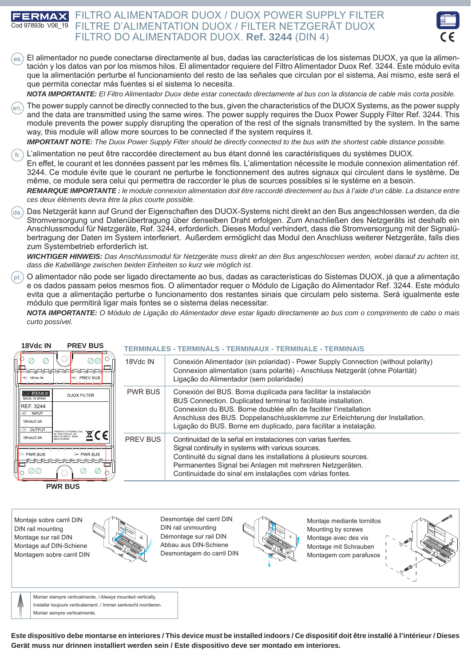## FILTRO ALIMENTADOR DUOX / DUOX POWER SUPPLY FILTER **ERMAX** FILTRE D'ALIMENTATION DUOX / FILTER NETZGERÄT DUOX Cod 97893b V06\_19 FILTRO DO ALIMENTADOR DUOX. **Ref. 3244** (DIN 4)



El alimentador no puede conectarse directamente al bus, dadas las características de los sistemas DUOX, ya que la alimen- $($ es $)$ tación y los datos van por los mismos hilos. El alimentador requiere del Filtro Alimentador Duox Ref. 3244. Este módulo evita que la alimentación perturbe el funcionamiento del resto de las señales que circulan por el sistema, Asi mismo, este será el que permita conectar más fuentes si el sistema lo necesita.

*NOTA IMPORTANTE: El Filtro Alimentador Duox debe estar conectado directamente al bus con la distancia de cable más corta posible.*

The power supply cannot be directly connected to the bus, given the characteristics of the DUOX Systems, as the power supply  $(en)$ and the data are transmitted using the same wires. The power supply requires the Duox Power Supply Filter Ref. 3244. This module prevents the power supply disrupting the operation of the rest of the signals transmitted by the system. In the same way, this module will allow more sources to be connected if the system requires it.

*IMPORTANT NOTE: The Duox Power Supply Filter should be directly connected to the bus with the shortest cable distance possible.*

L'alimentation ne peut être raccordée directement au bus étant donné les caractéristiques du systèmes DUOX.

En effet, le courant et les données passent par les mêmes fils. L'alimentation nécessite le module connexion alimentation réf. 3244. Ce module évite que le courant ne perturbe le fonctionnement des autres signaux qui circulent dans le système. De même, ce module sera celui qui permettra de raccorder le plus de sources possibles si le système en a besoin.

*REMARQUE IMPORTANTE : le module connexion alimentation doit être raccordé directement au bus à l'aide d'un câble. La distance entre ces deux éléments devra être la plus courte possible.*

Das Netzgerät kann auf Grund der Eigenschaften des DUOX-Systems nicht direkt an den Bus angeschlossen werden, da die Stromversorgung und Datenübertragung über denselben Draht erfolgen. Zum Anschließen des Netzgeräts ist deshalb ein Anschlussmodul für Netzgeräte, Ref. 3244, erforderlich. Dieses Modul verhindert, dass die Stromversorgung mit der Signalübertragung der Daten im System interferiert. Außerdem ermöglicht das Modul den Anschluss weiterer Netzgeräte, falls dies zum Systembetrieb erforderlich ist.

*WICHTIGER HINWEIS: Das Anschlussmodul für Netzgeräte muss direkt an den Bus angeschlossen werden, wobei darauf zu achten ist, dass die Kabellänge zwischen beiden Einheiten so kurz wie möglich ist.*

O alimentador não pode ser ligado directamente ao bus, dadas as características do Sistemas DUOX, já que a alimentação e os dados passam pelos mesmos fios. O alimentador requer o Módulo de Ligação do Alimentador Ref. 3244. Este módulo evita que a alimentação perturbe o funcionamento dos restantes sinais que circulam pelo sistema. Será igualmente este módulo que permitirá ligar mais fontes se o sistema delas necessitar.

*NOTA IMPORTANTE: O Módulo de Ligação do Alimentador deve estar ligado directamente ao bus com o comprimento de cabo o mais curto possível.*

| <b>PREV BUS</b><br>18Vdc IN                                                                                                                        |                 | TERMINALES - TERMINALS - TERMINAUX - TERMINALE - TERMINAIS                                                                                                                                                                                                                                                                                                 |
|----------------------------------------------------------------------------------------------------------------------------------------------------|-----------------|------------------------------------------------------------------------------------------------------------------------------------------------------------------------------------------------------------------------------------------------------------------------------------------------------------------------------------------------------------|
| ⊘⊘∣<br>Ø<br>Ø<br>to la la la la la la la la la la la<br>$\odot$ PREV BUS<br>$\rightarrow$ 18Vdc IN                                                 | 18Vdc IN        | Conexión Alimentador (sin polaridad) - Power Supply Connection (without polarity)<br>Connexion alimentation (sans polarité) - Anschluss Netzgerät (ohne Polarität)<br>Ligação do Alimentador (sem polaridade)                                                                                                                                              |
| FERMAX<br><b>DUOX FILTER</b><br>MADE IN SPAIN<br>REF. 3244<br>$\odot$ INPUT<br>18Vdc/2.5A<br>O* OUTPUT                                             | <b>PWR BUS</b>  | Conexión del BUS. Borna duplicada para facilitar la instalación<br>BUS Connection. Duplicated terminal to facilitate installation.<br>Connexion du BUS. Borne doublée afin de faciliter l'installation<br>Anschluss des BUS. Doppelanschlussklemme zur Erleichterung der Installation.<br>Ligação do BUS. Borne em duplicado, para facilitar a instalação. |
| X C E<br>46017 VALENCIA - SPAIN<br>18Vdc/2.5A<br>MADE IN SPAIL<br><b>C</b> → PWR BUS<br><b>← PWR BUS</b><br>61 61 61 61 61<br>非凡凡凡<br>⊘<br>⊘⊘<br>Ø | <b>PREV BUS</b> | Continuidad de la señal en instalaciones con varias fuentes.<br>Signal continuity in systems with various sources.<br>Continuité du signal dans les installations à plusieurs sources.<br>Permanentes Signal bei Anlagen mit mehreren Netzgeräten.<br>Continuidade do sinal em instalações com várias fontes.                                              |
| <b>PWR BUS</b>                                                                                                                                     |                 |                                                                                                                                                                                                                                                                                                                                                            |

Montaje sobre carril DIN DIN rail mounting Montage sur rail DIN Montage auf DIN-Schiene Montagem sobre carril DIN



Desmontaje del carril DIN DIN rail unmounting Démontage sur rail DIN Abbau aus DIN-Schiene Desmontagem do carril DIN



Montaje mediante tornillos Mounting by screws Montage avec des vis Montage mit Schrauben Montagem com parafusos





Montar siempre verticalmente. / Always mounted vertically. Installer toujours verticalement. / Immer senkrecht montieren. Montar sempre verticalmente.

**Este dispositivo debe montarse en interiores / This device must be installed indoors / Ce dispositif doit être installé à l'intérieur / Dieses Gerät muss nur drinnen installiert werden sein / Este dispositivo deve ser montado em interiores.**